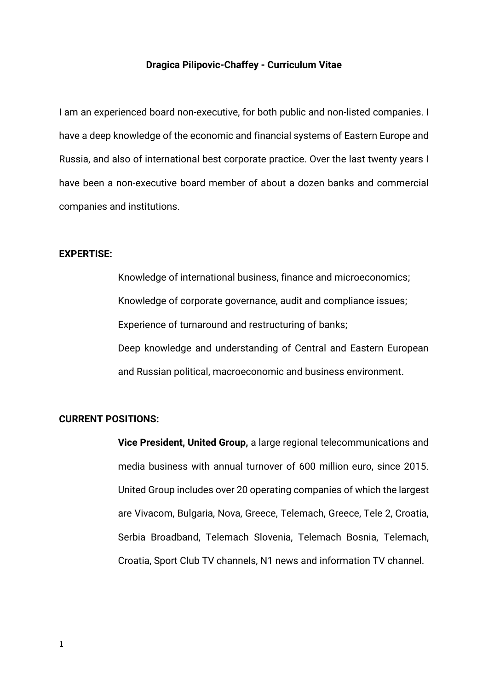#### **Dragica Pilipovic-Chaffey - Curriculum Vitae**

I am an experienced board non-executive, for both public and non-listed companies. I have a deep knowledge of the economic and financial systems of Eastern Europe and Russia, and also of international best corporate practice. Over the last twenty years I have been a non-executive board member of about a dozen banks and commercial companies and institutions.

#### **EXPERTISE:**

Knowledge of international business, finance and microeconomics; Knowledge of corporate governance, audit and compliance issues; Experience of turnaround and restructuring of banks; Deep knowledge and understanding of Central and Eastern European and Russian political, macroeconomic and business environment.

### **CURRENT POSITIONS:**

**Vice President, United Group,** a large regional telecommunications and media business with annual turnover of 600 million euro, since 2015. United Group includes over 20 operating companies of which the largest are Vivacom, Bulgaria, Nova, Greece, Telemach, Greece, Tele 2, Croatia, Serbia Broadband, Telemach Slovenia, Telemach Bosnia, Telemach, Croatia, Sport Club TV channels, N1 news and information TV channel.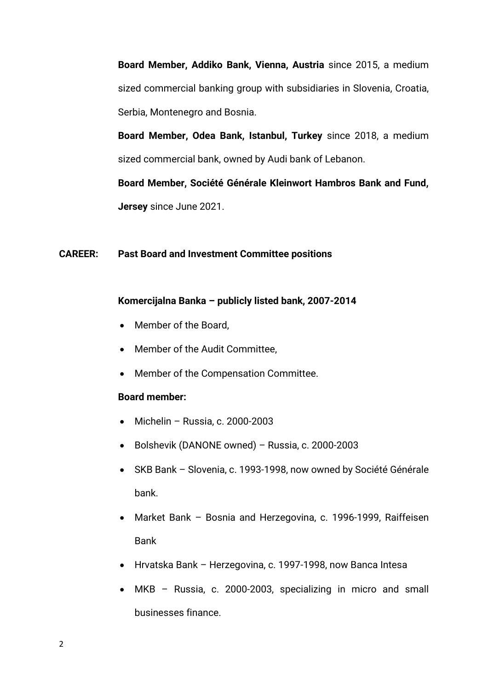**Board Member, Addiko Bank, Vienna, Austria** since 2015, a medium sized commercial banking group with subsidiaries in Slovenia, Croatia, Serbia, Montenegro and Bosnia.

**Board Member, Odea Bank, Istanbul, Turkey** since 2018, a medium sized commercial bank, owned by Audi bank of Lebanon.

**Board Member, Société Générale Kleinwort Hambros Bank and Fund, Jersey** since June 2021.

## **CAREER: Past Board and Investment Committee positions**

## **Komercijalna Banka – publicly listed bank, 2007-2014**

- Member of the Board,
- Member of the Audit Committee,
- Member of the Compensation Committee.

# **Board member:**

- $\bullet$  Michelin Russia, c. 2000-2003
- Bolshevik (DANONE owned) Russia, c. 2000-2003
- SKB Bank Slovenia, c. 1993-1998, now owned by Société Générale bank.
- Market Bank Bosnia and Herzegovina, c. 1996-1999, Raiffeisen Bank
- Hrvatska Bank Herzegovina, c. 1997-1998, now Banca Intesa
- MKB Russia, c. 2000-2003, specializing in micro and small businesses finance.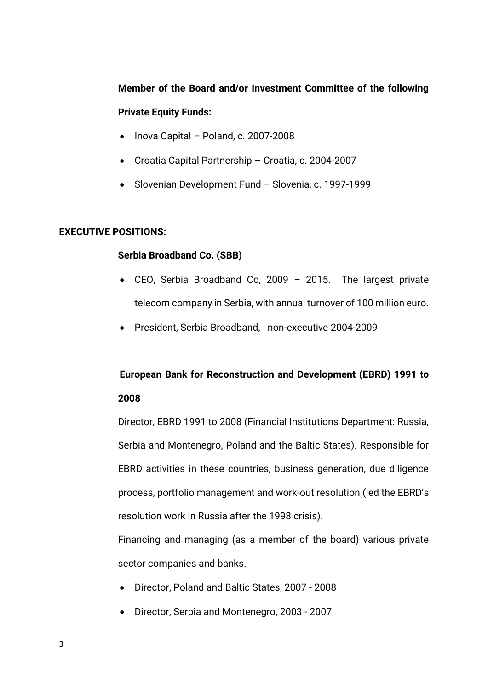# **Member of the Board and/or Investment Committee of the following Private Equity Funds:**

- Inova Capital Poland, c. 2007-2008
- Croatia Capital Partnership Croatia, c. 2004-2007
- Slovenian Development Fund Slovenia, c. 1997-1999

# **EXECUTIVE POSITIONS:**

## **Serbia Broadband Co. (SBB)**

- CEO, Serbia Broadband Co, 2009 2015. The largest private telecom company in Serbia, with annual turnover of 100 million euro.
- President, Serbia Broadband, non-executive 2004-2009

# **European Bank for Reconstruction and Development (EBRD) 1991 to 2008**

Director, EBRD 1991 to 2008 (Financial Institutions Department: Russia, Serbia and Montenegro, Poland and the Baltic States). Responsible for EBRD activities in these countries, business generation, due diligence process, portfolio management and work-out resolution (led the EBRD's resolution work in Russia after the 1998 crisis).

Financing and managing (as a member of the board) various private sector companies and banks.

- Director, Poland and Baltic States, 2007 2008
- Director, Serbia and Montenegro, 2003 2007